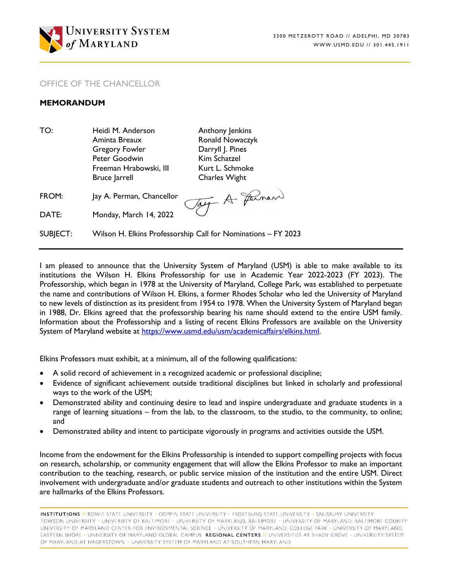

## OFFICE OF THE CHANCELLOR

## **MEMORANDUM**

TO: Heidi M. Anderson **Anthony Jenkins** Aminta Breaux **Ronald Nowaczyk** Gregory Fowler **Darryll** J. Pines Peter Goodwin Kim Schatzel Freeman Hrabowski, III Kurt L. Schmoke Bruce Jarrell **Charles Wight** 

Tay A Farmer

FROM: Jay A. Perman, Chancellor

DATE: Monday, March 14, 2022

SUBJECT: Wilson H. Elkins Professorship Call for Nominations – FY 2023

I am pleased to announce that the University System of Maryland (USM) is able to make available to its institutions the Wilson H. Elkins Professorship for use in Academic Year 2022-2023 (FY 2023). The Professorship, which began in 1978 at the University of Maryland, College Park, was established to perpetuate the name and contributions of Wilson H. Elkins, a former Rhodes Scholar who led the University of Maryland to new levels of distinction as its president from 1954 to 1978. When the University System of Maryland began in 1988, Dr. Elkins agreed that the professorship bearing his name should extend to the entire USM family. Information about the Professorship and a listing of recent Elkins Professors are available on the University System of Maryland website at [https://www.usmd.edu/usm/academicaffairs/elkins.html.](https://www.usmd.edu/usm/academicaffairs/elkins.html)

Elkins Professors must exhibit, at a minimum, all of the following qualifications:

- A solid record of achievement in a recognized academic or professional discipline;
- Evidence of significant achievement outside traditional disciplines but linked in scholarly and professional ways to the work of the USM;
- Demonstrated ability and continuing desire to lead and inspire undergraduate and graduate students in a range of learning situations – from the lab, to the classroom, to the studio, to the community, to online; and
- Demonstrated ability and intent to participate vigorously in programs and activities outside the USM.

Income from the endowment for the Elkins Professorship is intended to support compelling projects with focus on research, scholarship, or community engagement that will allow the Elkins Professor to make an important contribution to the teaching, research, or public service mission of the institution and the entire USM. Direct involvement with undergraduate and/or graduate students and outreach to other institutions within the System are hallmarks of the Elkins Professors.

**INSTITUTIONS //** BOWIE STATE UNIVERSITY · COPPIN STATE UNIVERSITY · FROSTBURG STATE UNIVERSITY · SALISBURY UNIVERSITY TOWSON UNIVERSITY · UNIVERSITY OF BALTIMORE · UNIVERSITY OF MARYLAND, BALTIMORE · UNIVERSITY OF MARYLAND, BALTIMORE COUNTY UNIVERSITY OF MARYLAND CENTER FOR ENVIRONMENTAL SCIENCE · UNIVERSITY OF MARYLAND, COLLEGE PARK · UNIVERSITY OF MARYLAND EASTERN SHORE • UNIVERSITY OF MARYLAND GLOBAL CAMPUS REGIONAL CENTERS // UNIVERSITIES AT SHADY GROVE • UNIVERSITY SYSTEM OF MARYLAND AT HAGERSTOWN · UNIVERSITY SYSTEM OF MARYLAND AT SOUTHERN MARYLAND